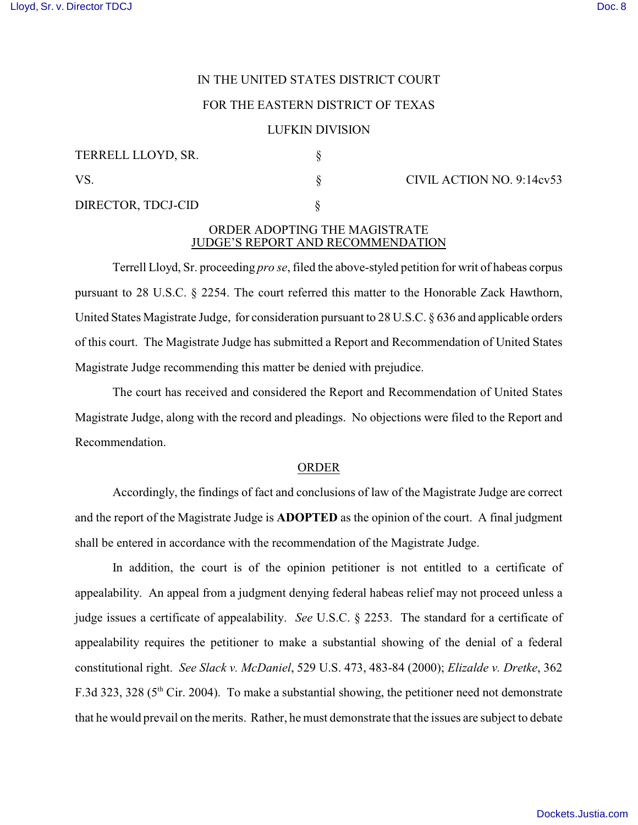# IN THE UNITED STATES DISTRICT COURT

## FOR THE EASTERN DISTRICT OF TEXAS

### LUFKIN DIVISION

| TERRELL LLOYD, SR. |  |
|--------------------|--|
| VS.                |  |

DIRECTOR, TDCJ-CID §

### $\S$  CIVIL ACTION NO. 9:14cv53

## ORDER ADOPTING THE MAGISTRATE JUDGE'S REPORT AND RECOMMENDATION

Terrell Lloyd, Sr. proceeding *pro se*, filed the above-styled petition for writ of habeas corpus pursuant to 28 U.S.C. § 2254. The court referred this matter to the Honorable Zack Hawthorn, United States Magistrate Judge, for consideration pursuant to 28 U.S.C. § 636 and applicable orders of this court. The Magistrate Judge has submitted a Report and Recommendation of United States Magistrate Judge recommending this matter be denied with prejudice.

The court has received and considered the Report and Recommendation of United States Magistrate Judge, along with the record and pleadings. No objections were filed to the Report and Recommendation.

#### ORDER

Accordingly, the findings of fact and conclusions of law of the Magistrate Judge are correct and the report of the Magistrate Judge is **ADOPTED** as the opinion of the court. A final judgment shall be entered in accordance with the recommendation of the Magistrate Judge.

In addition, the court is of the opinion petitioner is not entitled to a certificate of appealability. An appeal from a judgment denying federal habeas relief may not proceed unless a judge issues a certificate of appealability. *See* U.S.C. § 2253. The standard for a certificate of appealability requires the petitioner to make a substantial showing of the denial of a federal constitutional right. *See Slack v. McDaniel*, 529 U.S. 473, 483-84 (2000); *Elizalde v. Dretke*, 362 F.3d 323, 328 ( $5<sup>th</sup>$  Cir. 2004). To make a substantial showing, the petitioner need not demonstrate that he would prevail on the merits. Rather, he must demonstrate that the issues are subject to debate